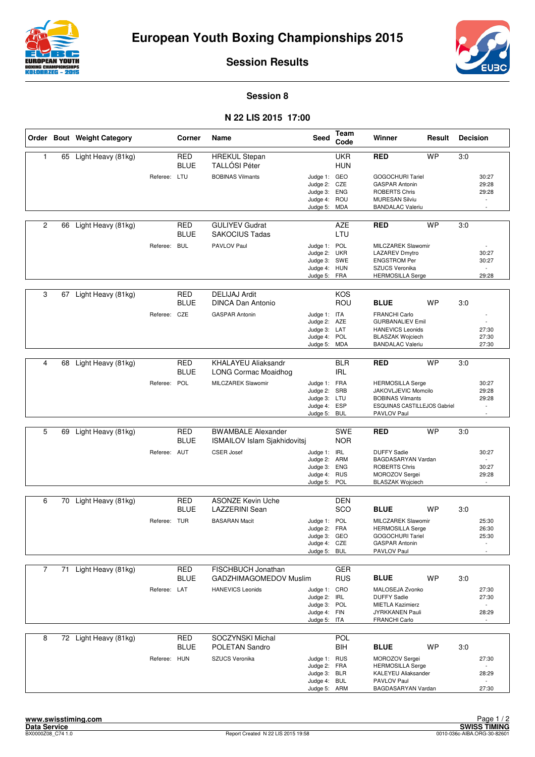



**Session Results**

## **Session 8**

## **N 22 LIS 2015 17:00**

|                |    | Order Bout Weight Category |              | Corner                    | Name                                                      | Seed                                                                         | Team<br>Code             | Winner                                                                                                                           | Result    | <b>Decision</b> |                                   |
|----------------|----|----------------------------|--------------|---------------------------|-----------------------------------------------------------|------------------------------------------------------------------------------|--------------------------|----------------------------------------------------------------------------------------------------------------------------------|-----------|-----------------|-----------------------------------|
| $\mathbf{1}$   |    | 65 Light Heavy (81kg)      |              | <b>RED</b><br><b>BLUE</b> | <b>HREKUL Stepan</b><br><b>TALLÓSI Péter</b>              |                                                                              | <b>UKR</b><br><b>HUN</b> | <b>RED</b>                                                                                                                       | <b>WP</b> | 3:0             |                                   |
|                |    |                            | Referee: LTU |                           | <b>BOBINAS Vilmants</b>                                   | Judge 1: GEO<br>Judge 2: CZE<br>Judge 3: ENG<br>Judge 4: ROU<br>Judge 5: MDA |                          | <b>GOGOCHURI Tariel</b><br><b>GASPAR Antonin</b><br><b>ROBERTS Chris</b><br><b>MURESAN Silviu</b><br><b>BANDALAC Valeriu</b>     |           |                 | 30:27<br>29:28<br>29:28           |
| $\overline{c}$ | 66 | Light Heavy (81kg)         |              | RED<br><b>BLUE</b>        | <b>GULIYEV Gudrat</b><br><b>SAKOCIUS Tadas</b>            |                                                                              | <b>AZE</b><br>LTU        | <b>RED</b>                                                                                                                       | WP        | 3:0             |                                   |
|                |    |                            | Referee: BUL |                           | PAVLOV Paul                                               | Judge 1: POL<br>Judge 2: UKR<br>Judge 3: SWE<br>Judge 4: HUN<br>Judge 5: FRA |                          | MILCZAREK Slawomir<br>LAZAREV Dmytro<br><b>ENGSTROM Per</b><br>SZUCS Veronika<br><b>HERMOSILLA Serge</b>                         |           |                 | 30:27<br>30:27<br>29:28           |
|                |    |                            |              |                           |                                                           |                                                                              |                          |                                                                                                                                  |           |                 |                                   |
| 3              | 67 | Light Heavy (81kg)         |              | <b>RED</b><br><b>BLUE</b> | <b>DELIJAJ Ardit</b><br><b>DINCA Dan Antonio</b>          |                                                                              | <b>KOS</b><br>ROU        | <b>BLUE</b>                                                                                                                      | WP        | 3.0             |                                   |
|                |    |                            | Referee: CZE |                           | <b>GASPAR Antonin</b>                                     | Judge 1: ITA<br>Judge 2: AZE<br>Judge 3: LAT<br>Judge 4: POL<br>Judge 5:     | MDA                      | <b>FRANCHI Carlo</b><br><b>GURBANALIEV Emil</b><br><b>HANEVICS Leonids</b><br><b>BLASZAK Wojciech</b><br><b>BANDALAC Valeriu</b> |           |                 | 27:30<br>27:30<br>27:30           |
|                |    |                            |              |                           |                                                           |                                                                              |                          |                                                                                                                                  |           |                 |                                   |
| 4              | 68 | Light Heavy (81kg)         |              | RED<br><b>BLUE</b>        | <b>KHALAYEU Aliaksandr</b><br><b>LONG Cormac Moaidhog</b> |                                                                              | <b>BLR</b><br><b>IRL</b> | <b>RED</b>                                                                                                                       | WP        | 3.0             |                                   |
|                |    |                            | Referee: POL |                           | MILCZAREK Slawomir                                        | Judge 1: FRA                                                                 |                          | <b>HERMOSILLA Serge</b>                                                                                                          |           |                 | 30:27                             |
|                |    |                            |              |                           |                                                           | Judge 2: SRB<br>Judge 3: LTU                                                 |                          | JAKOVLJEVIC Momcilo<br><b>BOBINAS Vilmants</b>                                                                                   |           |                 | 29:28<br>29:28                    |
|                |    |                            |              |                           |                                                           | Judge 4: ESP<br>Judge 5: BUL                                                 |                          | ESQUINAS CASTILLEJOS Gabriel<br>PAVLOV Paul                                                                                      |           |                 | $\overline{a}$<br>÷,              |
|                |    |                            |              |                           |                                                           |                                                                              |                          |                                                                                                                                  |           |                 |                                   |
| 5              | 69 | Light Heavy (81kg)         |              | RED<br><b>BLUE</b>        | <b>BWAMBALE Alexander</b><br>ISMAILOV Islam Sjakhidovitsj |                                                                              | <b>SWE</b><br><b>NOR</b> | <b>RED</b>                                                                                                                       | <b>WP</b> | 3:0             |                                   |
|                |    |                            | Referee: AUT |                           | <b>CSER Josef</b>                                         | Judge $1$ :<br>Judge 2:                                                      | IRL<br>ARM               | <b>DUFFY Sadie</b><br>BAGDASARYAN Vardan                                                                                         |           |                 | 30:27                             |
|                |    |                            |              |                           |                                                           | Judge 3: ENG                                                                 |                          | <b>ROBERTS Chris</b>                                                                                                             |           |                 | 30:27                             |
|                |    |                            |              |                           |                                                           | Judge 4: RUS<br>Judge 5: POL                                                 |                          | MOROZOV Sergei<br><b>BLASZAK Wojciech</b>                                                                                        |           |                 | 29:28<br>$\overline{\phantom{a}}$ |
|                |    | 70 Light Heavy (81kg)      |              | <b>RED</b>                | <b>ASONZE Kevin Uche</b>                                  |                                                                              | <b>DEN</b>               |                                                                                                                                  |           |                 |                                   |
| 6              |    |                            |              | <b>BLUE</b>               | <b>LAZZERINI Sean</b>                                     |                                                                              | SCO                      | <b>BLUE</b>                                                                                                                      | <b>WP</b> | 3:0             |                                   |
|                |    |                            | Referee: TUR |                           | <b>BASARAN Macit</b>                                      | Judge 1: POL                                                                 |                          | MILCZAREK Slawomir                                                                                                               |           |                 | 25:30                             |
|                |    |                            |              |                           |                                                           | Judge 2: FRA<br>Judge 3: GEO                                                 |                          | <b>HERMOSILLA Serge</b><br>GOGOCHURI Tariel                                                                                      |           |                 | 26:30<br>25:30                    |
|                |    |                            |              |                           |                                                           | Judge 4: CZE<br>Judge 5: BUL                                                 |                          | <b>GASPAR Antonin</b><br>PAVLOV Paul                                                                                             |           |                 |                                   |
|                |    |                            |              |                           |                                                           |                                                                              |                          |                                                                                                                                  |           |                 |                                   |
| $\overline{7}$ | 71 | Light Heavy (81kg)         |              | <b>RED</b>                | FISCHBUCH Jonathan                                        |                                                                              | GER                      |                                                                                                                                  |           |                 |                                   |
|                |    |                            |              | BLUE                      | GADZHIMAGOMEDOV Muslim                                    |                                                                              | <b>RUS</b>               | <b>BLUE</b>                                                                                                                      | WP        | 3.0             |                                   |
|                |    |                            | Referee: LAT |                           | <b>HANEVICS Leonids</b>                                   | Judge 1: CRO<br>Judge 2: IRL                                                 |                          | MALOSEJA Zvonko<br><b>DUFFY Sadie</b>                                                                                            |           |                 | 27:30<br>27:30                    |
|                |    |                            |              |                           |                                                           | Judge 3: POL<br>Judge 4: FIN                                                 |                          | <b>MIETLA Kazimierz</b><br>JYRKKANEN Pauli                                                                                       |           |                 | $\overline{\phantom{a}}$<br>28:29 |
|                |    |                            |              |                           |                                                           | Judge 5: ITA                                                                 |                          | <b>FRANCHI Carlo</b>                                                                                                             |           |                 |                                   |
| 8              |    | 72 Light Heavy (81kg)      |              | <b>RED</b>                | SOCZYNSKI Michal                                          |                                                                              | POL                      |                                                                                                                                  |           |                 |                                   |
|                |    |                            |              | <b>BLUE</b>               | POLETAN Sandro                                            |                                                                              | <b>BIH</b>               | <b>BLUE</b>                                                                                                                      | <b>WP</b> | 3:0             |                                   |
|                |    |                            | Referee: HUN |                           | SZUCS Veronika                                            | Judge 1: RUS                                                                 |                          | MOROZOV Sergei                                                                                                                   |           |                 | 27:30                             |
|                |    |                            |              |                           |                                                           | Judge 2: FRA<br>Judge 3: BLR                                                 |                          | <b>HERMOSILLA Serge</b><br>KALEYEU Aliaksander                                                                                   |           |                 | 28:29                             |
|                |    |                            |              |                           |                                                           | Judge 4: BUL<br>Judge 5: ARM                                                 |                          | PAVLOV Paul<br>BAGDASARYAN Vardan                                                                                                |           |                 | 27:30                             |